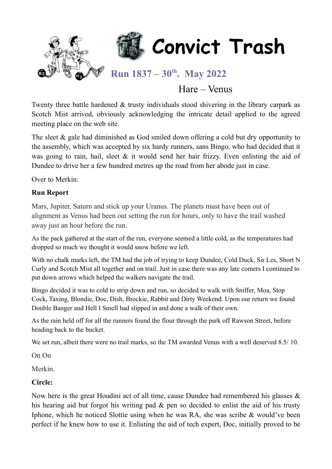

## Hare – Venus

Twenty three battle hardened & trusty individuals stood shivering in the library carpark as Scotch Mist arrived, obviously acknowledging the intricate detail applied to the agreed meeting place on the web site.

The sleet & gale had diminished as God smiled down offering a cold but dry opportunity to the assembly, which was accepted by six hardy runners, sans Bingo, who had decided that it was going to rain, hail, sleet & it would send her hair frizzy. Even enlisting the aid of Dundee to drive her a few hundred metres up the road from her abode just in case.

Over to Merkin:

#### **Run Report**

Mars, Jupiter, Saturn and stick up your Uranus. The planets must have been out of alignment as Venus had been out setting the run for hours, only to have the trail washed away just an hour before the run.

As the pack gathered at the start of the run, everyone seemed a little cold, as the temperatures had dropped so much we thought it would snow before we left.

With no chalk marks left, the TM had the job of trying to keep Dundee, Cold Duck, Sir Les, Short N Curly and Scotch Mist all together and on trail. Just in case there was any late comers I continued to put down arrows which helped the walkers navigate the trail.

Bingo decided it was to cold to strip down and run, so decided to walk with Sniffer, Moa, Stop Cock, Taxing, Blondie, Doc, Dish, Brockie, Rabbit and Dirty Weekend. Upon our return we found Double Banger and Hell I Smell had slipped in and done a walk of their own.

As the rain held off for all the runners found the flour through the park off Rawson Street, before heading back to the bucket.

We set run, albeit there were no trail marks, so the TM awarded Venus with a well deserved 8.5/10.

On On

Merkin.

### **Circle:**

Now here is the great Houdini act of all time, cause Dundee had remembered his glasses & his hearing aid but forgot his writing pad & pen so decided to enlist the aid of his trusty Iphone, which he noticed Slottie using when he was RA, she was scribe & would've been perfect if he knew how to use it. Enlisting the aid of tech expert, Doc, initially proved to be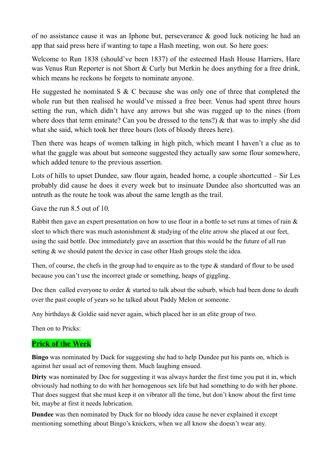of no assistance cause it was an Iphone but, perseverance & good luck noticing he had an app that said press here if wanting to tape a Hash meeting, won out. So here goes:

Welcome to Run 1838 (should've been 1837) of the esteemed Hash House Harriers, Hare was Venus Run Reporter is not Short & Curly but Merkin he does anything for a free drink, which means he reckons he forgets to nominate anyone.

He suggested he nominated S & C because she was only one of three that completed the whole run but then realised he would've missed a free beer. Venus had spent three hours setting the run, which didn't have any arrows but she was rugged up to the nines (from where does that term eminate? Can you be dressed to the tens?) & that was to imply she did what she said, which took her three hours (lots of bloody threes here).

Then there was heaps of women talking in high pitch, which meant I haven't a clue as to what the gaggle was about but someone suggested they actually saw some flour somewhere, which added tenure to the previous assertion.

Lots of hills to upset Dundee, saw flour again, headed home, a couple shortcutted – Sir Les probably did cause he does it every week but to insinuate Dundee also shortcutted was an untruth as the route he took was about the same length as the trail.

Gave the run 8.5 out of 10.

Rabbit then gave an expert presentation on how to use flour in a bottle to set runs at times of rain & sleet to which there was much astonishment & studying of the elite arrow she placed at our feet, using the said bottle. Doc immediately gave an assertion that this would be the future of all run setting & we should patent the device in case other Hash groups stole the idea.

Then, of course, the chefs in the group had to enquire as to the type & standard of flour to be used because you can't use the incorrect grade or something, heaps of giggling.

Doc then called everyone to order & started to talk about the suburb, which had been done to death over the past couple of years so he talked about Paddy Melon or someone.

Any birthdays & Goldie said never again, which placed her in an elite group of two.

Then on to Pricks:

### **Prick of the Week**

**Bingo** was nominated by Duck for suggesting she had to help Dundee put his pants on, which is against her usual act of removing them. Much laughing ensued.

**Dirty** was nominated by Doc for suggesting it was always harder the first time you put it in, which obviously had nothing to do with her homogenous sex life but had something to do with her phone. That does suggest that she must keep it on vibrator all the time, but don't know about the first time bit, maybe at first it needs lubrication.

**Dundee** was then nominated by Duck for no bloody idea cause he never explained it except mentioning something about Bingo's knickers, when we all know she doesn't wear any.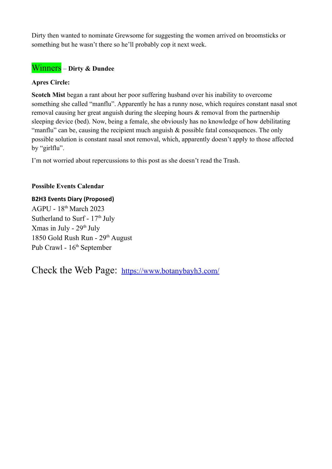Dirty then wanted to nominate Grewsome for suggesting the women arrived on broomsticks or something but he wasn't there so he'll probably cop it next week.

## Winners – **Dirty & Dundee**

#### **Apres Circle:**

**Scotch Mist** began a rant about her poor suffering husband over his inability to overcome something she called "manflu". Apparently he has a runny nose, which requires constant nasal snot removal causing her great anguish during the sleeping hours & removal from the partnership sleeping device (bed). Now, being a female, she obviously has no knowledge of how debilitating "manflu" can be, causing the recipient much anguish & possible fatal consequences. The only possible solution is constant nasal snot removal, which, apparently doesn't apply to those affected by "girlflu".

I'm not worried about repercussions to this post as she doesn't read the Trash.

#### **Possible Events Calendar**

## **B2H3 Events Diary (Proposed)**

AGPU - 18th March 2023 Sutherland to Surf -  $17<sup>th</sup>$  July Xmas in July -  $29<sup>th</sup>$  July 1850 Gold Rush Run - 29<sup>th</sup> August Pub Crawl -  $16^{th}$  September

Check the Web Page: <https://www.botanybayh3.com/>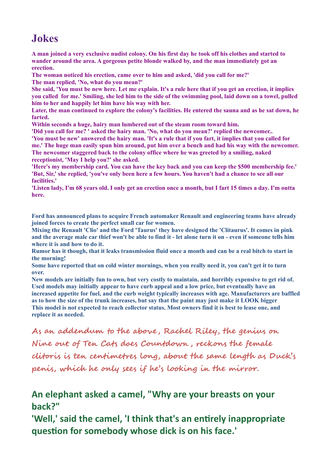# **Jokes**

**A man joined a very exclusive nudist colony. On his first day he took off his clothes and started to wander around the area. A gorgeous petite blonde walked by, and the man immediately got an erection.**

**The woman noticed his erection, came over to him and asked, 'did you call for me?' The man replied, 'No, what do you mean?'**

**She said, 'You must be new here. Let me explain. It's a rule here that if you get an erection, it implies you called for me.' Smiling, she led him to the side of the swimming pool, laid down on a towel, pulled him to her and happily let him have his way with her.**

**Later, the man continued to explore the colony's facilities. He entered the sauna and as he sat down, he farted.**

**Within seconds a huge, hairy man lumbered out of the steam room toward him.**

**'Did you call for me? ' asked the hairy man. 'No, what do you mean?' replied the newcomer.. 'You must be new' answered the hairy man. 'It's a rule that if you fart, it implies that you called for me.' The huge man easily spun him around, put him over a bench and had his way with the newcomer. The newcomer staggered back to the colony office where he was greeted by a smiling, naked receptionist, 'May I help you?' she asked.**

**'Here's my membership card. You can have the key back and you can keep the \$500 membership fee.' 'But, Sir,' she replied, 'you've only been here a few hours. You haven't had a chance to see all our facilities.'**

**'Listen lady, I'm 68 years old. I only get an erection once a month, but I fart 15 times a day. I'm outta here.**

**Ford has announced plans to acquire French automaker Renault and engineering teams have already joined forces to create the perfect small car for women.**

**Mixing the Renault 'Clio' and the Ford 'Taurus' they have designed the 'Clitaurus'. It comes in pink and the average male car thief won't be able to find it - let alone turn it on - even if someone tells him where it is and how to do it.**

**Rumor has it though, that it leaks transmission fluid once a month and can be a real bitch to start in the morning!**

**Some have reported that on cold winter mornings, when you really need it, you can't get it to turn over.**

**New models are initially fun to own, but very costly to maintain, and horribly expensive to get rid of. Used models may initially appear to have curb appeal and a low price, but eventually have an increased appetite for fuel, and the curb weight typically increases with age. Manufacturers are baffled as to how the size of the trunk increases, but say that the paint may just make it LOOK bigger This model is not expected to reach collector status. Most owners find it is best to lease one, and replace it as needed.**

**As an addendum to the above , Rachel Riley, the genius on Nine out of Ten Cats does Countdown , reckons the female clitoris is ten centimetres long, about the same length as Duck's penis, which he only sees if he's looking in the mirror.**

## **An elephant asked a camel, "Why are your breasts on your back?"**

**'Well,' said the camel, 'I think that's an entirely inappropriate question for somebody whose dick is on his face.'**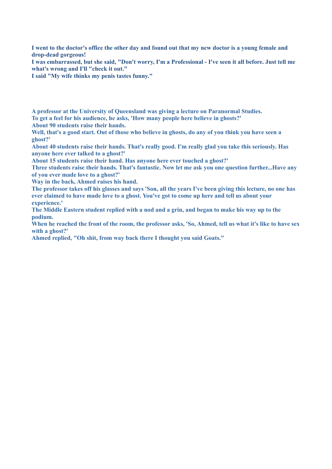**I went to the doctor's office the other day and found out that my new doctor is a young female and drop-dead gorgeous!**

**I was embarrassed, but she said, "Don't worry, I'm a Professional - I've seen it all before. Just tell me what's wrong and I'll "check it out."**

**I said "My wife thinks my penis tastes funny."**

**A professor at the University of Queensland was giving a lecture on Paranormal Studies. To get a feel for his audience, he asks, 'How many people here believe in ghosts?'**

**About 90 students raise their hands.**

**Well, that's a good start. Out of those who believe in ghosts, do any of you think you have seen a ghost?'**

**About 40 students raise their hands. That's really good. I'm really glad you take this seriously. Has anyone here ever talked to a ghost?'**

**About 15 students raise their hand. Has anyone here ever touched a ghost?'**

**Three students raise their hands. That's fantastic. Now let me ask you one question further...Have any of you ever made love to a ghost?'**

**Way in the back, Ahmed raises his hand.**

**The professor takes off his glasses and says 'Son, all the years I've been giving this lecture, no one has ever claimed to have made love to a ghost. You've got to come up here and tell us about your experience.'**

**The Middle Eastern student replied with a nod and a grin, and began to make his way up to the podium.**

**When he reached the front of the room, the professor asks, 'So, Ahmed, tell us what it's like to have sex with a ghost?'**

**Ahmed replied, "Oh shit, from way back there I thought you said Goats."**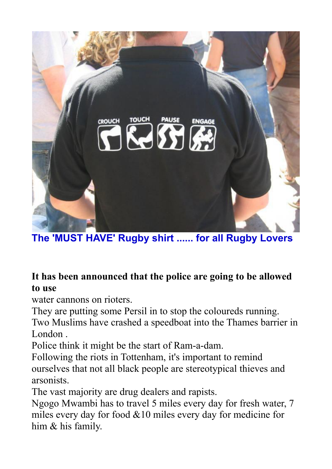

**The 'MUST HAVE' Rugby shirt ...... for all Rugby Lovers**

# **It has been announced that the police are going to be allowed to use**

water cannons on rioters.

They are putting some Persil in to stop the coloureds running. Two Muslims have crashed a speedboat into the Thames barrier in London .

Police think it might be the start of Ram-a-dam.

Following the riots in Tottenham, it's important to remind ourselves that not all black people are stereotypical thieves and arsonists.

The vast majority are drug dealers and rapists.

Ngogo Mwambi has to travel 5 miles every day for fresh water, 7 miles every day for food &10 miles every day for medicine for him & his family.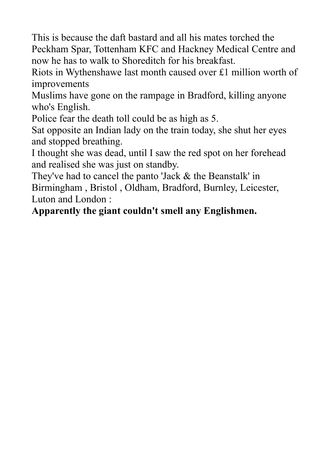This is because the daft bastard and all his mates torched the Peckham Spar, Tottenham KFC and Hackney Medical Centre and now he has to walk to Shoreditch for his breakfast.

Riots in Wythenshawe last month caused over £1 million worth of improvements

Muslims have gone on the rampage in Bradford, killing anyone who's English.

Police fear the death toll could be as high as 5.

Sat opposite an Indian lady on the train today, she shut her eyes and stopped breathing.

I thought she was dead, until I saw the red spot on her forehead and realised she was just on standby.

They've had to cancel the panto 'Jack & the Beanstalk' in Birmingham , Bristol , Oldham, Bradford, Burnley, Leicester, Luton and London :

**Apparently the giant couldn't smell any Englishmen.**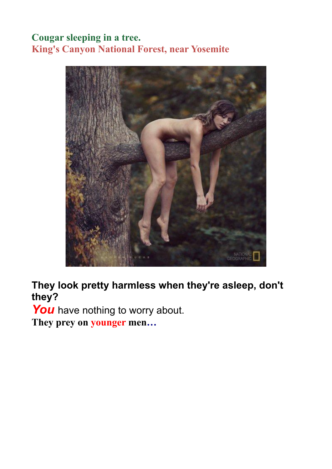# **Cougar sleeping in a tree. King's Canyon National Forest, near Yosemite**



**They look pretty harmless when they're asleep, don't they?**

You have nothing to worry about.

**They prey on younger men…**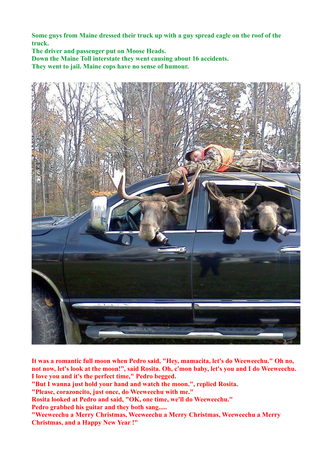**Some guys from Maine dressed their truck up with a guy spread eagle on the roof of the truck.**

**The driver and passenger put on Moose Heads.**

**Down the Maine Toll interstate they went causing about 16 accidents.**

**They went to jail. Maine cops have no sense of humour.**



**It was a romantic full moon when Pedro said, "Hey, mamacita, let's do Weeweechu." Oh no, not now, let's look at the moon!", said Rosita. Oh, c'mon baby, let's you and I do Weeweechu. I love you and it's the perfect time," Pedro begged.**

**"But I wanna just hold your hand and watch the moon.", replied Rosita.**

**"Please, corazoncito, just once, do Weeweechu with me."**

**Rosita looked at Pedro and said, "OK, one time, we'll do Weeweechu."**

**Pedro grabbed his guitar and they both sang.....**

**"Weeweechu a Merry Christmas, Weeweechu a Merry Christmas, Weeweechu a Merry Christmas, and a Happy New Year !"**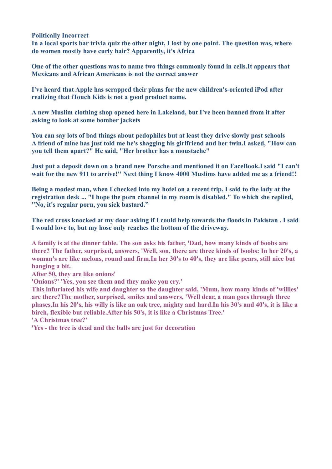**Politically Incorrect**

**In a local sports bar trivia quiz the other night, I lost by one point. The question was, where do women mostly have curly hair? Apparently, it's Africa**

**One of the other questions was to name two things commonly found in cells.It appears that Mexicans and African Americans is not the correct answer**

**I've heard that Apple has scrapped their plans for the new children's-oriented iPod after realizing that iTouch Kids is not a good product name.**

**A new Muslim clothing shop opened here in Lakeland, but I've been banned from it after asking to look at some bomber jackets**

**You can say lots of bad things about pedophiles but at least they drive slowly past schools A friend of mine has just told me he's shagging his girlfriend and her twin.I asked, "How can you tell them apart?" He said, "Her brother has a moustache"**

**Just put a deposit down on a brand new Porsche and mentioned it on FaceBook.I said "I can't wait for the new 911 to arrive!" Next thing I know 4000 Muslims have added me as a friend!!**

**Being a modest man, when I checked into my hotel on a recent trip, I said to the lady at the registration desk ... "I hope the porn channel in my room is disabled." To which she replied, "No, it's regular porn, you sick bastard."**

**The red cross knocked at my door asking if I could help towards the floods in Pakistan . I said I would love to, but my hose only reaches the bottom of the driveway.**

**A family is at the dinner table. The son asks his father, 'Dad, how many kinds of boobs are there? The father, surprised, answers, 'Well, son, there are three kinds of boobs: In her 20's, a woman's are like melons, round and firm.In her 30's to 40's, they are like pears, still nice but hanging a bit.**

**After 50, they are like onions'**

**'Onions?' 'Yes, you see them and they make you cry.'**

**This infuriated his wife and daughter so the daughter said, 'Mum, how many kinds of 'willies' are there?The mother, surprised, smiles and answers, 'Well dear, a man goes through three phases.In his 20's, his willy is like an oak tree, mighty and hard.In his 30's and 40's, it is like a birch, flexible but reliable.After his 50's, it is like a Christmas Tree.' 'A Christmas tree?'**

**'Yes - the tree is dead and the balls are just for decoration**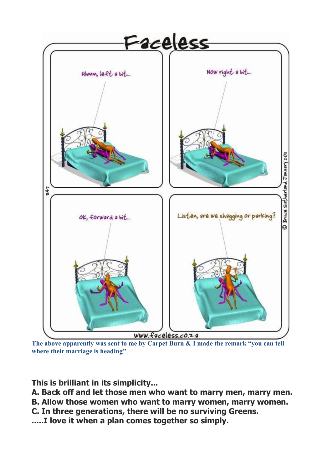

**The above apparently was sent to me by Carpet Burn & I made the remark "you can tell where their marriage is heading"**

**This is brilliant in its simplicity...**

**A. Back off and let those men who want to marry men, marry men.**

**B. Allow those women who want to marry women, marry women.**

**C. In three generations, there will be no surviving Greens.**

**.....I love it when a plan comes together so simply.**